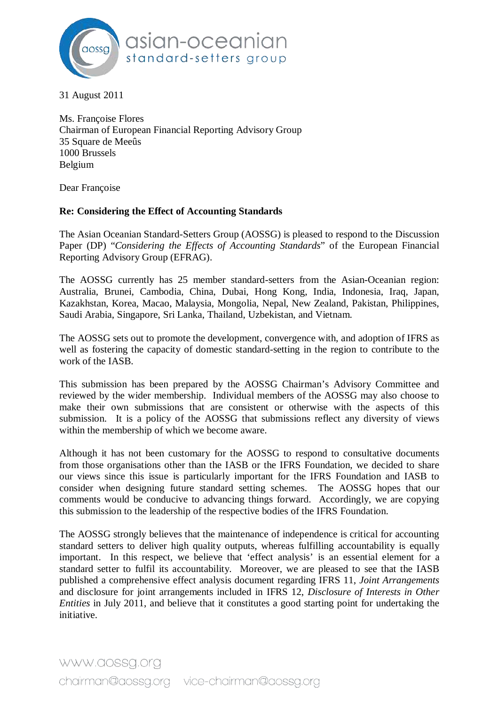

31 August 2011

Ms. Françoise Flores Chairman of European Financial Reporting Advisory Group 35 Square de Meeûs 1000 Brussels Belgium

Dear Françoise

## **Re: Considering the Effect of Accounting Standards**

The Asian Oceanian Standard-Setters Group (AOSSG) is pleased to respond to the Discussion Paper (DP) "*Considering the Effects of Accounting Standards*" of the European Financial Reporting Advisory Group (EFRAG).

The AOSSG currently has 25 member standard-setters from the Asian-Oceanian region: Australia, Brunei, Cambodia, China, Dubai, Hong Kong, India, Indonesia, Iraq, Japan, Kazakhstan, Korea, Macao, Malaysia, Mongolia, Nepal, New Zealand, Pakistan, Philippines, Saudi Arabia, Singapore, Sri Lanka, Thailand, Uzbekistan, and Vietnam.

The AOSSG sets out to promote the development, convergence with, and adoption of IFRS as well as fostering the capacity of domestic standard-setting in the region to contribute to the work of the IASB.

This submission has been prepared by the AOSSG Chairman's Advisory Committee and reviewed by the wider membership. Individual members of the AOSSG may also choose to make their own submissions that are consistent or otherwise with the aspects of this submission. It is a policy of the AOSSG that submissions reflect any diversity of views within the membership of which we become aware.

Although it has not been customary for the AOSSG to respond to consultative documents from those organisations other than the IASB or the IFRS Foundation, we decided to share our views since this issue is particularly important for the IFRS Foundation and IASB to consider when designing future standard setting schemes. The AOSSG hopes that our comments would be conducive to advancing things forward. Accordingly, we are copying this submission to the leadership of the respective bodies of the IFRS Foundation.

The AOSSG strongly believes that the maintenance of independence is critical for accounting standard setters to deliver high quality outputs, whereas fulfilling accountability is equally important. In this respect, we believe that 'effect analysis' is an essential element for a standard setter to fulfil its accountability. Moreover, we are pleased to see that the IASB published a comprehensive effect analysis document regarding IFRS 11, *Joint Arrangements* and disclosure for joint arrangements included in IFRS 12, *Disclosure of Interests in Other Entities* in July 2011, and believe that it constitutes a good starting point for undertaking the initiative.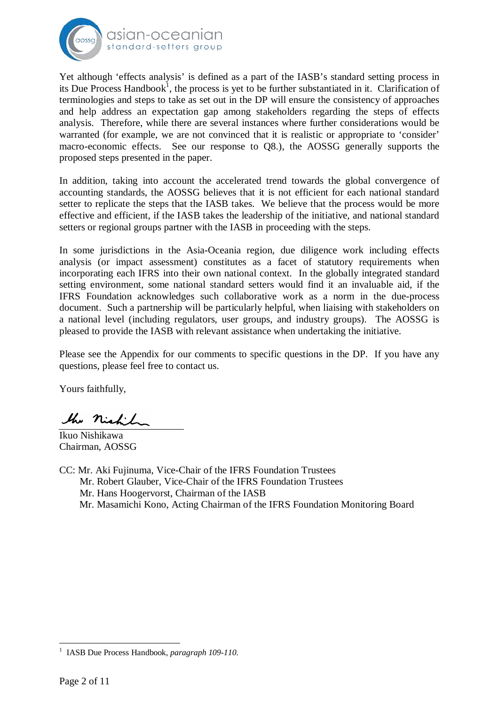

Yet although 'effects analysis' is defined as a part of the IASB's standard setting process in its Due Process Handbook<sup>1</sup>, the process is yet to be further substantiated in it. Clarification of terminologies and steps to take as set out in the DP will ensure the consistency of approaches and help address an expectation gap among stakeholders regarding the steps of effects analysis. Therefore, while there are several instances where further considerations would be warranted (for example, we are not convinced that it is realistic or appropriate to 'consider' macro-economic effects. See our response to Q8.), the AOSSG generally supports the proposed steps presented in the paper.

In addition, taking into account the accelerated trend towards the global convergence of accounting standards, the AOSSG believes that it is not efficient for each national standard setter to replicate the steps that the IASB takes. We believe that the process would be more effective and efficient, if the IASB takes the leadership of the initiative, and national standard setters or regional groups partner with the IASB in proceeding with the steps.

In some jurisdictions in the Asia-Oceania region, due diligence work including effects analysis (or impact assessment) constitutes as a facet of statutory requirements when incorporating each IFRS into their own national context. In the globally integrated standard setting environment, some national standard setters would find it an invaluable aid, if the IFRS Foundation acknowledges such collaborative work as a norm in the due-process document. Such a partnership will be particularly helpful, when liaising with stakeholders on a national level (including regulators, user groups, and industry groups). The AOSSG is pleased to provide the IASB with relevant assistance when undertaking the initiative.

Please see the Appendix for our comments to specific questions in the DP. If you have any questions, please feel free to contact us.

Yours faithfully,

the night

Ikuo Nishikawa Chairman, AOSSG

CC: Mr. Aki Fujinuma, Vice-Chair of the IFRS Foundation Trustees Mr. Robert Glauber, Vice-Chair of the IFRS Foundation Trustees Mr. Hans Hoogervorst, Chairman of the IASB Mr. Masamichi Kono, Acting Chairman of the IFRS Foundation Monitoring Board

<sup>1</sup> IASB Due Process Handbook, *paragraph 109-110*.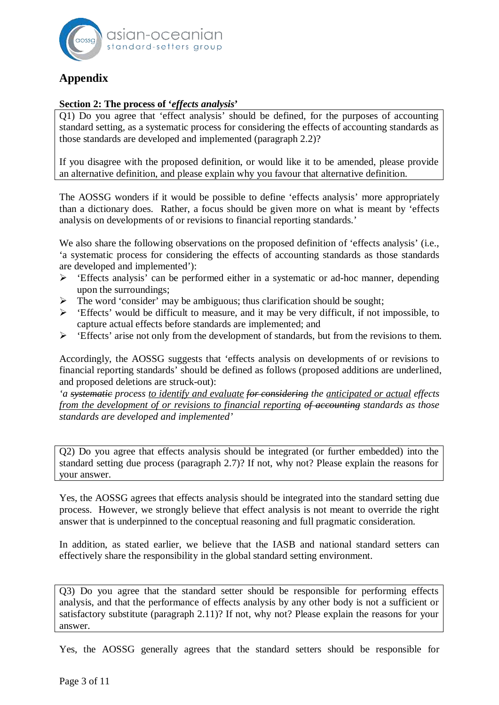

# **Appendix**

## **Section 2: The process of '***effects analysis***'**

Q1) Do you agree that 'effect analysis' should be defined, for the purposes of accounting standard setting, as a systematic process for considering the effects of accounting standards as those standards are developed and implemented (paragraph 2.2)?

If you disagree with the proposed definition, or would like it to be amended, please provide an alternative definition, and please explain why you favour that alternative definition.

The AOSSG wonders if it would be possible to define 'effects analysis' more appropriately than a dictionary does. Rather, a focus should be given more on what is meant by 'effects analysis on developments of or revisions to financial reporting standards.'

We also share the following observations on the proposed definition of 'effects analysis' (i.e., 'a systematic process for considering the effects of accounting standards as those standards are developed and implemented'):

- ¾ 'Effects analysis' can be performed either in a systematic or ad-hoc manner, depending upon the surroundings;
- $\triangleright$  The word 'consider' may be ambiguous; thus clarification should be sought;
- $\triangleright$  'Effects' would be difficult to measure, and it may be very difficult, if not impossible, to capture actual effects before standards are implemented; and
- ¾ 'Effects' arise not only from the development of standards, but from the revisions to them.

Accordingly, the AOSSG suggests that 'effects analysis on developments of or revisions to financial reporting standards' should be defined as follows (proposed additions are underlined, and proposed deletions are struck-out):

*'a systematic process to identify and evaluate for considering the anticipated or actual effects from the development of or revisions to financial reporting of accounting standards as those standards are developed and implemented'*

Q2) Do you agree that effects analysis should be integrated (or further embedded) into the standard setting due process (paragraph 2.7)? If not, why not? Please explain the reasons for your answer.

Yes, the AOSSG agrees that effects analysis should be integrated into the standard setting due process. However, we strongly believe that effect analysis is not meant to override the right answer that is underpinned to the conceptual reasoning and full pragmatic consideration.

In addition, as stated earlier, we believe that the IASB and national standard setters can effectively share the responsibility in the global standard setting environment.

Q3) Do you agree that the standard setter should be responsible for performing effects analysis, and that the performance of effects analysis by any other body is not a sufficient or satisfactory substitute (paragraph 2.11)? If not, why not? Please explain the reasons for your answer.

Yes, the AOSSG generally agrees that the standard setters should be responsible for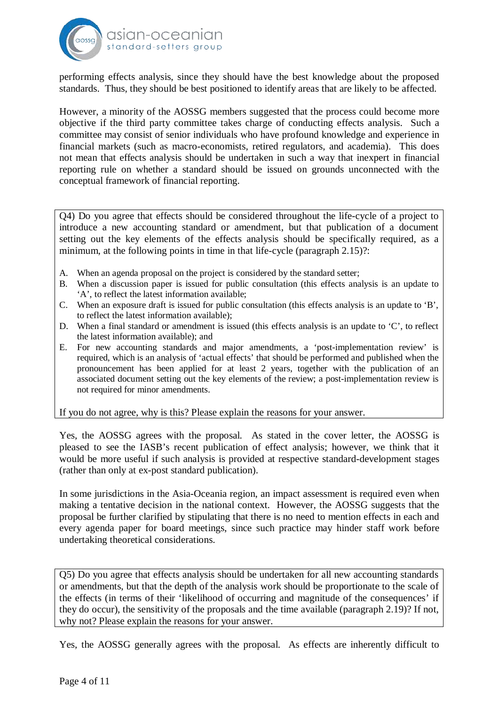

performing effects analysis, since they should have the best knowledge about the proposed standards. Thus, they should be best positioned to identify areas that are likely to be affected.

However, a minority of the AOSSG members suggested that the process could become more objective if the third party committee takes charge of conducting effects analysis. Such a committee may consist of senior individuals who have profound knowledge and experience in financial markets (such as macro-economists, retired regulators, and academia). This does not mean that effects analysis should be undertaken in such a way that inexpert in financial reporting rule on whether a standard should be issued on grounds unconnected with the conceptual framework of financial reporting.

Q4) Do you agree that effects should be considered throughout the life-cycle of a project to introduce a new accounting standard or amendment, but that publication of a document setting out the key elements of the effects analysis should be specifically required, as a minimum, at the following points in time in that life-cycle (paragraph 2.15)?:

- A. When an agenda proposal on the project is considered by the standard setter;
- B. When a discussion paper is issued for public consultation (this effects analysis is an update to 'A', to reflect the latest information available;
- C. When an exposure draft is issued for public consultation (this effects analysis is an update to 'B', to reflect the latest information available);
- D. When a final standard or amendment is issued (this effects analysis is an update to 'C', to reflect the latest information available); and
- E. For new accounting standards and major amendments, a 'post-implementation review' is required, which is an analysis of 'actual effects' that should be performed and published when the pronouncement has been applied for at least 2 years, together with the publication of an associated document setting out the key elements of the review; a post-implementation review is not required for minor amendments.

If you do not agree, why is this? Please explain the reasons for your answer.

Yes, the AOSSG agrees with the proposal. As stated in the cover letter, the AOSSG is pleased to see the IASB's recent publication of effect analysis; however, we think that it would be more useful if such analysis is provided at respective standard-development stages (rather than only at ex-post standard publication).

In some jurisdictions in the Asia-Oceania region, an impact assessment is required even when making a tentative decision in the national context. However, the AOSSG suggests that the proposal be further clarified by stipulating that there is no need to mention effects in each and every agenda paper for board meetings, since such practice may hinder staff work before undertaking theoretical considerations.

Q5) Do you agree that effects analysis should be undertaken for all new accounting standards or amendments, but that the depth of the analysis work should be proportionate to the scale of the effects (in terms of their 'likelihood of occurring and magnitude of the consequences' if they do occur), the sensitivity of the proposals and the time available (paragraph 2.19)? If not, why not? Please explain the reasons for your answer.

Yes, the AOSSG generally agrees with the proposal. As effects are inherently difficult to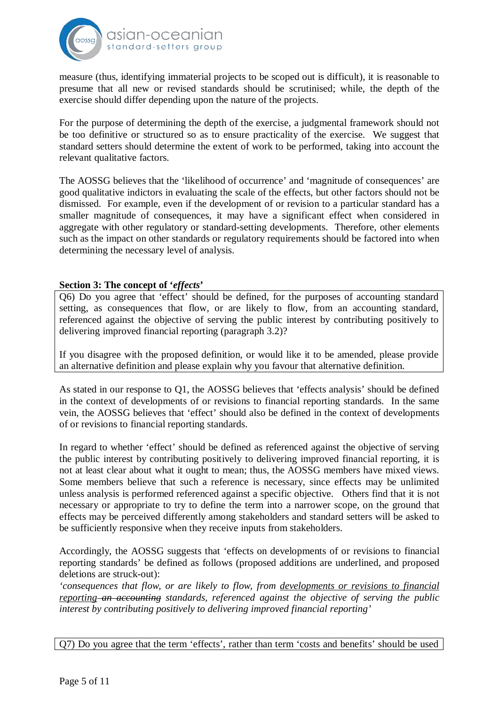

measure (thus, identifying immaterial projects to be scoped out is difficult), it is reasonable to presume that all new or revised standards should be scrutinised; while, the depth of the exercise should differ depending upon the nature of the projects.

For the purpose of determining the depth of the exercise, a judgmental framework should not be too definitive or structured so as to ensure practicality of the exercise. We suggest that standard setters should determine the extent of work to be performed, taking into account the relevant qualitative factors.

The AOSSG believes that the 'likelihood of occurrence' and 'magnitude of consequences' are good qualitative indictors in evaluating the scale of the effects, but other factors should not be dismissed. For example, even if the development of or revision to a particular standard has a smaller magnitude of consequences, it may have a significant effect when considered in aggregate with other regulatory or standard-setting developments. Therefore, other elements such as the impact on other standards or regulatory requirements should be factored into when determining the necessary level of analysis.

#### **Section 3: The concept of '***effects***'**

Q6) Do you agree that 'effect' should be defined, for the purposes of accounting standard setting, as consequences that flow, or are likely to flow, from an accounting standard, referenced against the objective of serving the public interest by contributing positively to delivering improved financial reporting (paragraph 3.2)?

If you disagree with the proposed definition, or would like it to be amended, please provide an alternative definition and please explain why you favour that alternative definition.

As stated in our response to Q1, the AOSSG believes that 'effects analysis' should be defined in the context of developments of or revisions to financial reporting standards. In the same vein, the AOSSG believes that 'effect' should also be defined in the context of developments of or revisions to financial reporting standards.

In regard to whether 'effect' should be defined as referenced against the objective of serving the public interest by contributing positively to delivering improved financial reporting, it is not at least clear about what it ought to mean; thus, the AOSSG members have mixed views. Some members believe that such a reference is necessary, since effects may be unlimited unless analysis is performed referenced against a specific objective. Others find that it is not necessary or appropriate to try to define the term into a narrower scope, on the ground that effects may be perceived differently among stakeholders and standard setters will be asked to be sufficiently responsive when they receive inputs from stakeholders.

Accordingly, the AOSSG suggests that 'effects on developments of or revisions to financial reporting standards' be defined as follows (proposed additions are underlined, and proposed deletions are struck-out):

*'consequences that flow, or are likely to flow, from developments or revisions to financial reporting an accounting standards, referenced against the objective of serving the public interest by contributing positively to delivering improved financial reporting'*

Q7) Do you agree that the term 'effects', rather than term 'costs and benefits' should be used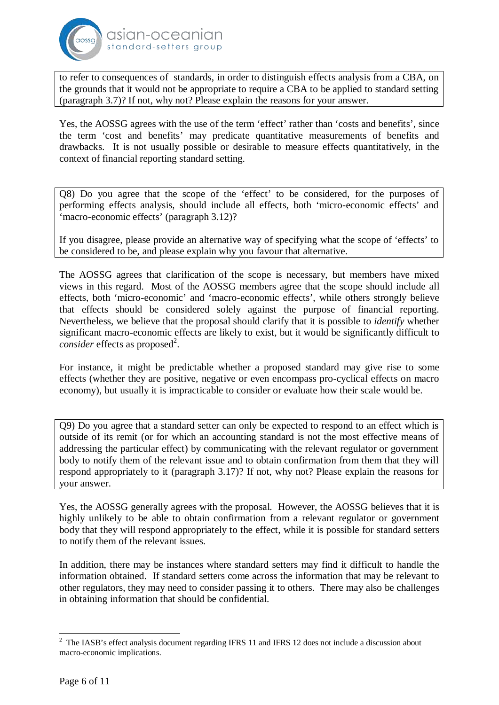

to refer to consequences of standards, in order to distinguish effects analysis from a CBA, on the grounds that it would not be appropriate to require a CBA to be applied to standard setting (paragraph 3.7)? If not, why not? Please explain the reasons for your answer.

Yes, the AOSSG agrees with the use of the term 'effect' rather than 'costs and benefits', since the term 'cost and benefits' may predicate quantitative measurements of benefits and drawbacks. It is not usually possible or desirable to measure effects quantitatively, in the context of financial reporting standard setting.

Q8) Do you agree that the scope of the 'effect' to be considered, for the purposes of performing effects analysis, should include all effects, both 'micro-economic effects' and 'macro-economic effects' (paragraph 3.12)?

If you disagree, please provide an alternative way of specifying what the scope of 'effects' to be considered to be, and please explain why you favour that alternative.

The AOSSG agrees that clarification of the scope is necessary, but members have mixed views in this regard. Most of the AOSSG members agree that the scope should include all effects, both 'micro-economic' and 'macro-economic effects', while others strongly believe that effects should be considered solely against the purpose of financial reporting. Nevertheless, we believe that the proposal should clarify that it is possible to *identify* whether significant macro-economic effects are likely to exist, but it would be significantly difficult to *consider* effects as proposed<sup>2</sup>.

For instance, it might be predictable whether a proposed standard may give rise to some effects (whether they are positive, negative or even encompass pro-cyclical effects on macro economy), but usually it is impracticable to consider or evaluate how their scale would be.

Q9) Do you agree that a standard setter can only be expected to respond to an effect which is outside of its remit (or for which an accounting standard is not the most effective means of addressing the particular effect) by communicating with the relevant regulator or government body to notify them of the relevant issue and to obtain confirmation from them that they will respond appropriately to it (paragraph 3.17)? If not, why not? Please explain the reasons for your answer.

Yes, the AOSSG generally agrees with the proposal. However, the AOSSG believes that it is highly unlikely to be able to obtain confirmation from a relevant regulator or government body that they will respond appropriately to the effect, while it is possible for standard setters to notify them of the relevant issues.

In addition, there may be instances where standard setters may find it difficult to handle the information obtained. If standard setters come across the information that may be relevant to other regulators, they may need to consider passing it to others. There may also be challenges in obtaining information that should be confidential.

<sup>&</sup>lt;sup>2</sup> The IASB's effect analysis document regarding IFRS 11 and IFRS 12 does not include a discussion about macro-economic implications.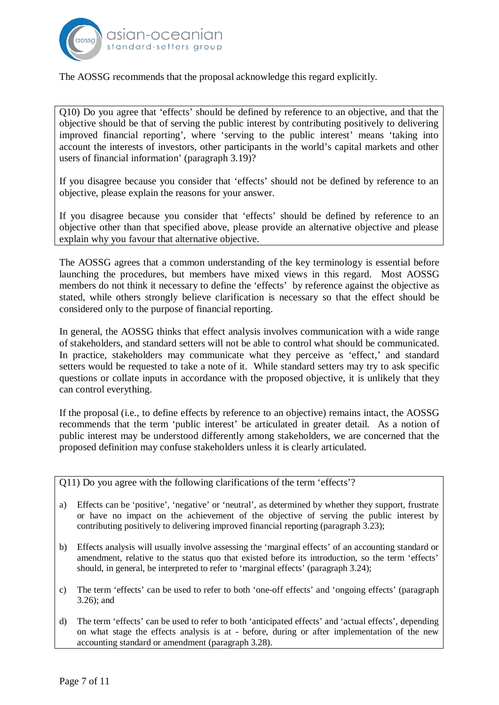

The AOSSG recommends that the proposal acknowledge this regard explicitly.

Q10) Do you agree that 'effects' should be defined by reference to an objective, and that the objective should be that of serving the public interest by contributing positively to delivering improved financial reporting', where 'serving to the public interest' means 'taking into account the interests of investors, other participants in the world's capital markets and other users of financial information' (paragraph 3.19)?

If you disagree because you consider that 'effects' should not be defined by reference to an objective, please explain the reasons for your answer.

If you disagree because you consider that 'effects' should be defined by reference to an objective other than that specified above, please provide an alternative objective and please explain why you favour that alternative objective.

The AOSSG agrees that a common understanding of the key terminology is essential before launching the procedures, but members have mixed views in this regard. Most AOSSG members do not think it necessary to define the 'effects' by reference against the objective as stated, while others strongly believe clarification is necessary so that the effect should be considered only to the purpose of financial reporting.

In general, the AOSSG thinks that effect analysis involves communication with a wide range of stakeholders, and standard setters will not be able to control what should be communicated. In practice, stakeholders may communicate what they perceive as 'effect,' and standard setters would be requested to take a note of it. While standard setters may try to ask specific questions or collate inputs in accordance with the proposed objective, it is unlikely that they can control everything.

If the proposal (i.e., to define effects by reference to an objective) remains intact, the AOSSG recommends that the term 'public interest' be articulated in greater detail. As a notion of public interest may be understood differently among stakeholders, we are concerned that the proposed definition may confuse stakeholders unless it is clearly articulated.

Q11) Do you agree with the following clarifications of the term 'effects'?

- a) Effects can be 'positive', 'negative' or 'neutral', as determined by whether they support, frustrate or have no impact on the achievement of the objective of serving the public interest by contributing positively to delivering improved financial reporting (paragraph 3.23);
- b) Effects analysis will usually involve assessing the 'marginal effects' of an accounting standard or amendment, relative to the status quo that existed before its introduction, so the term 'effects' should, in general, be interpreted to refer to 'marginal effects' (paragraph 3.24);
- c) The term 'effects' can be used to refer to both 'one-off effects' and 'ongoing effects' (paragraph 3.26); and
- d) The term 'effects' can be used to refer to both 'anticipated effects' and 'actual effects', depending on what stage the effects analysis is at - before, during or after implementation of the new accounting standard or amendment (paragraph 3.28).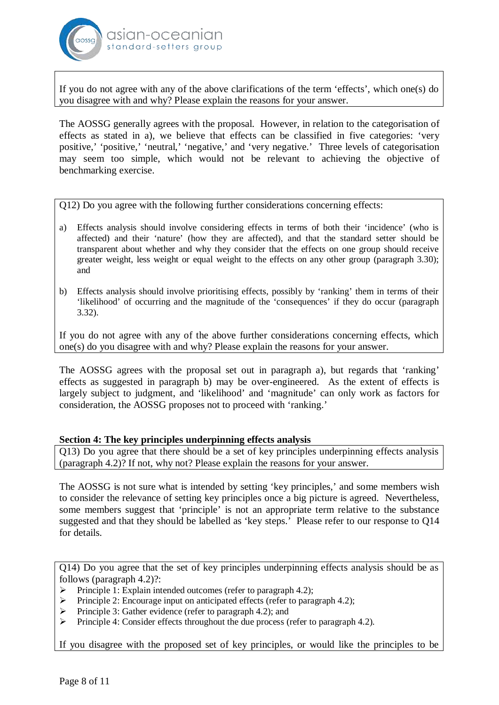

If you do not agree with any of the above clarifications of the term 'effects', which one(s) do you disagree with and why? Please explain the reasons for your answer.

The AOSSG generally agrees with the proposal. However, in relation to the categorisation of effects as stated in a), we believe that effects can be classified in five categories: 'very positive,' 'positive,' 'neutral,' 'negative,' and 'very negative.' Three levels of categorisation may seem too simple, which would not be relevant to achieving the objective of benchmarking exercise.

Q12) Do you agree with the following further considerations concerning effects:

- a) Effects analysis should involve considering effects in terms of both their 'incidence' (who is affected) and their 'nature' (how they are affected), and that the standard setter should be transparent about whether and why they consider that the effects on one group should receive greater weight, less weight or equal weight to the effects on any other group (paragraph 3.30); and
- b) Effects analysis should involve prioritising effects, possibly by 'ranking' them in terms of their 'likelihood' of occurring and the magnitude of the 'consequences' if they do occur (paragraph 3.32).

If you do not agree with any of the above further considerations concerning effects, which one(s) do you disagree with and why? Please explain the reasons for your answer.

The AOSSG agrees with the proposal set out in paragraph a), but regards that 'ranking' effects as suggested in paragraph b) may be over-engineered. As the extent of effects is largely subject to judgment, and 'likelihood' and 'magnitude' can only work as factors for consideration, the AOSSG proposes not to proceed with 'ranking.'

#### **Section 4: The key principles underpinning effects analysis**

Q13) Do you agree that there should be a set of key principles underpinning effects analysis (paragraph 4.2)? If not, why not? Please explain the reasons for your answer.

The AOSSG is not sure what is intended by setting 'key principles,' and some members wish to consider the relevance of setting key principles once a big picture is agreed. Nevertheless, some members suggest that 'principle' is not an appropriate term relative to the substance suggested and that they should be labelled as 'key steps.' Please refer to our response to Q14 for details.

Q14) Do you agree that the set of key principles underpinning effects analysis should be as follows (paragraph 4.2)?:

- ¾ Principle 1: Explain intended outcomes (refer to paragraph 4.2);
- ¾ Principle 2: Encourage input on anticipated effects (refer to paragraph 4.2);
- $\triangleright$  Principle 3: Gather evidence (refer to paragraph 4.2); and
- ¾ Principle 4: Consider effects throughout the due process (refer to paragraph 4.2).

If you disagree with the proposed set of key principles, or would like the principles to be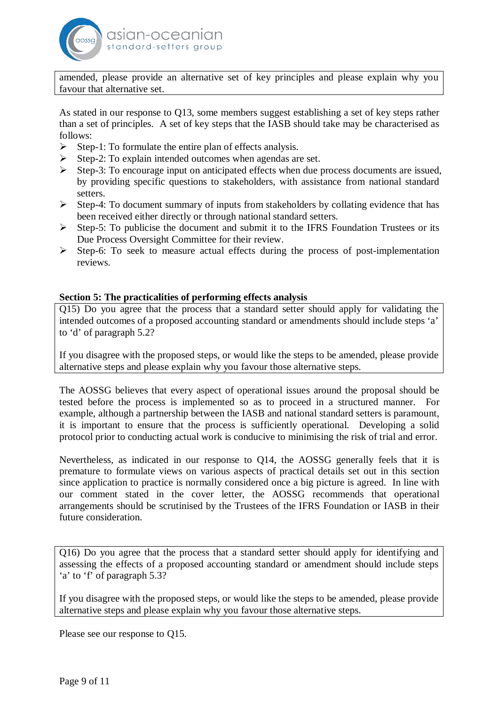

amended, please provide an alternative set of key principles and please explain why you favour that alternative set.

As stated in our response to Q13, some members suggest establishing a set of key steps rather than a set of principles. A set of key steps that the IASB should take may be characterised as follows:

- $\triangleright$  Step-1: To formulate the entire plan of effects analysis.
- $\triangleright$  Step-2: To explain intended outcomes when agendas are set.
- ¾ Step-3: To encourage input on anticipated effects when due process documents are issued, by providing specific questions to stakeholders, with assistance from national standard setters.
- $\triangleright$  Step-4: To document summary of inputs from stakeholders by collating evidence that has been received either directly or through national standard setters.
- $\triangleright$  Step-5: To publicise the document and submit it to the IFRS Foundation Trustees or its Due Process Oversight Committee for their review.
- $\triangleright$  Step-6: To seek to measure actual effects during the process of post-implementation reviews.

## **Section 5: The practicalities of performing effects analysis**

Q15) Do you agree that the process that a standard setter should apply for validating the intended outcomes of a proposed accounting standard or amendments should include steps 'a' to 'd' of paragraph 5.2?

If you disagree with the proposed steps, or would like the steps to be amended, please provide alternative steps and please explain why you favour those alternative steps.

The AOSSG believes that every aspect of operational issues around the proposal should be tested before the process is implemented so as to proceed in a structured manner. For example, although a partnership between the IASB and national standard setters is paramount, it is important to ensure that the process is sufficiently operational. Developing a solid protocol prior to conducting actual work is conducive to minimising the risk of trial and error.

Nevertheless, as indicated in our response to Q14, the AOSSG generally feels that it is premature to formulate views on various aspects of practical details set out in this section since application to practice is normally considered once a big picture is agreed. In line with our comment stated in the cover letter, the AOSSG recommends that operational arrangements should be scrutinised by the Trustees of the IFRS Foundation or IASB in their future consideration.

Q16) Do you agree that the process that a standard setter should apply for identifying and assessing the effects of a proposed accounting standard or amendment should include steps 'a' to 'f' of paragraph 5.3?

If you disagree with the proposed steps, or would like the steps to be amended, please provide alternative steps and please explain why you favour those alternative steps.

Please see our response to Q15.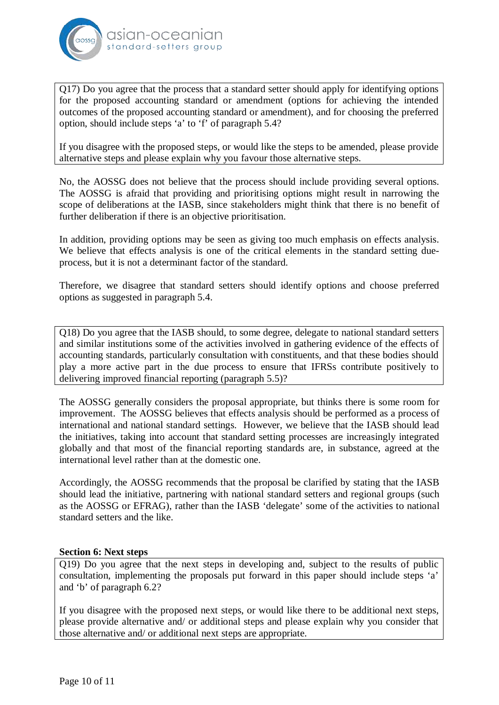

Q17) Do you agree that the process that a standard setter should apply for identifying options for the proposed accounting standard or amendment (options for achieving the intended outcomes of the proposed accounting standard or amendment), and for choosing the preferred option, should include steps 'a' to 'f' of paragraph 5.4?

If you disagree with the proposed steps, or would like the steps to be amended, please provide alternative steps and please explain why you favour those alternative steps.

No, the AOSSG does not believe that the process should include providing several options. The AOSSG is afraid that providing and prioritising options might result in narrowing the scope of deliberations at the IASB, since stakeholders might think that there is no benefit of further deliberation if there is an objective prioritisation.

In addition, providing options may be seen as giving too much emphasis on effects analysis. We believe that effects analysis is one of the critical elements in the standard setting dueprocess, but it is not a determinant factor of the standard.

Therefore, we disagree that standard setters should identify options and choose preferred options as suggested in paragraph 5.4.

Q18) Do you agree that the IASB should, to some degree, delegate to national standard setters and similar institutions some of the activities involved in gathering evidence of the effects of accounting standards, particularly consultation with constituents, and that these bodies should play a more active part in the due process to ensure that IFRSs contribute positively to delivering improved financial reporting (paragraph 5.5)?

The AOSSG generally considers the proposal appropriate, but thinks there is some room for improvement. The AOSSG believes that effects analysis should be performed as a process of international and national standard settings. However, we believe that the IASB should lead the initiatives, taking into account that standard setting processes are increasingly integrated globally and that most of the financial reporting standards are, in substance, agreed at the international level rather than at the domestic one.

Accordingly, the AOSSG recommends that the proposal be clarified by stating that the IASB should lead the initiative, partnering with national standard setters and regional groups (such as the AOSSG or EFRAG), rather than the IASB 'delegate' some of the activities to national standard setters and the like.

## **Section 6: Next steps**

Q19) Do you agree that the next steps in developing and, subject to the results of public consultation, implementing the proposals put forward in this paper should include steps 'a' and 'b' of paragraph 6.2?

If you disagree with the proposed next steps, or would like there to be additional next steps, please provide alternative and/ or additional steps and please explain why you consider that those alternative and/ or additional next steps are appropriate.